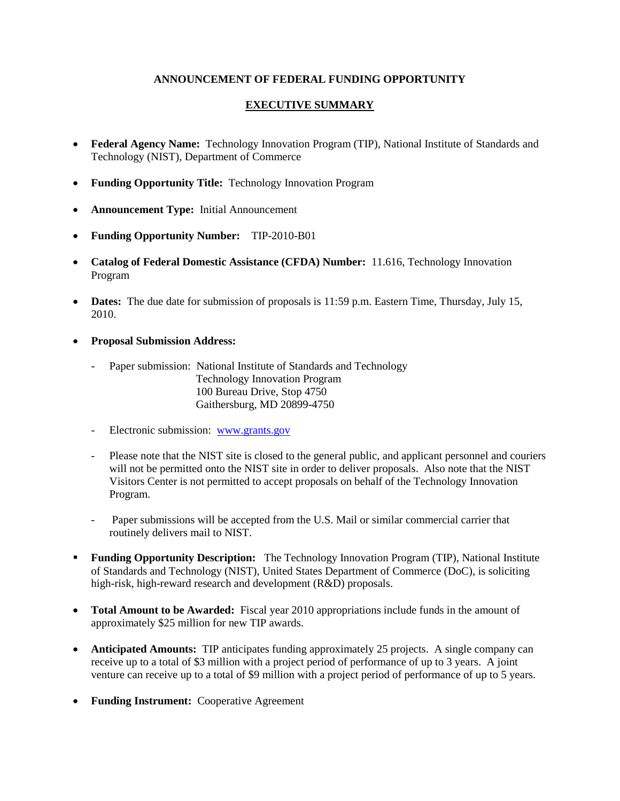## **ANNOUNCEMENT OF FEDERAL FUNDING OPPORTUNITY**

## **EXECUTIVE SUMMARY**

- **Federal Agency Name:** Technology Innovation Program (TIP), National Institute of Standards and Technology (NIST), Department of Commerce
- **Funding Opportunity Title:** Technology Innovation Program
- **Announcement Type:** Initial Announcement
- **Funding Opportunity Number:** TIP-2010-B01
- **Catalog of Federal Domestic Assistance (CFDA) Number:** 11.616, Technology Innovation Program
- **Dates:** The due date for submission of proposals is 11:59 p.m. Eastern Time, Thursday, July 15, 2010.
- **Proposal Submission Address:**
	- Paper submission: National Institute of Standards and Technology Technology Innovation Program 100 Bureau Drive, Stop 4750 Gaithersburg, MD 20899-4750
	- Electronic submission: [www.grants.gov](http://www.grants.gov/)
	- Please note that the NIST site is closed to the general public, and applicant personnel and couriers will not be permitted onto the NIST site in order to deliver proposals. Also note that the NIST Visitors Center is not permitted to accept proposals on behalf of the Technology Innovation Program.
	- Paper submissions will be accepted from the U.S. Mail or similar commercial carrier that routinely delivers mail to NIST.
- **Funding Opportunity Description:** The Technology Innovation Program (TIP), National Institute of Standards and Technology (NIST), United States Department of Commerce (DoC), is soliciting high-risk, high-reward research and development (R&D) proposals.
- **Total Amount to be Awarded:** Fiscal year 2010 appropriations include funds in the amount of approximately \$25 million for new TIP awards.
- **Anticipated Amounts:** TIP anticipates funding approximately 25 projects. A single company can receive up to a total of \$3 million with a project period of performance of up to 3 years. A joint venture can receive up to a total of \$9 million with a project period of performance of up to 5 years.
- **Funding Instrument:** Cooperative Agreement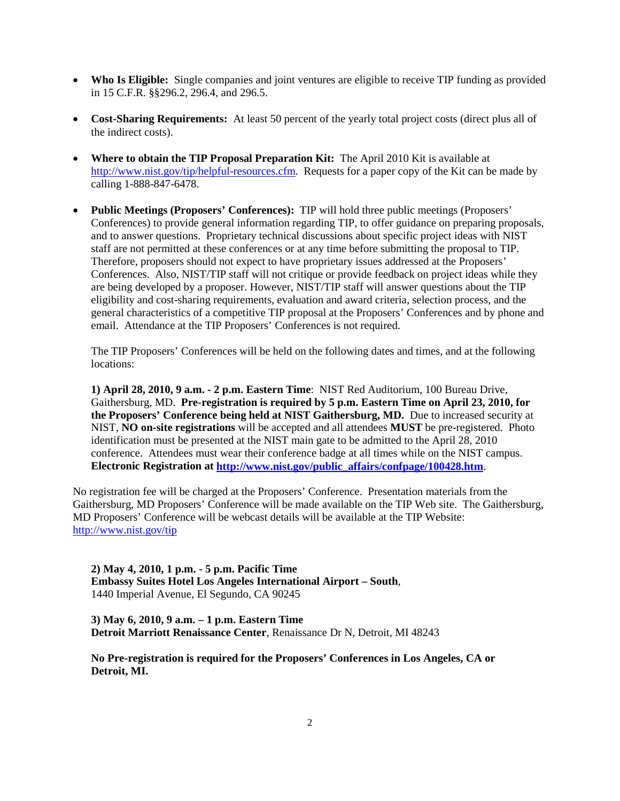- **Who Is Eligible:** Single companies and joint ventures are eligible to receive TIP funding as provided in 15 C.F.R. §§296.2, 296.4, and 296.5.
- **Cost-Sharing Requirements:** At least 50 percent of the yearly total project costs (direct plus all of the indirect costs).
- **Where to obtain the TIP Proposal Preparation Kit:** The April 2010 Kit is available at [http://www.nist.gov/tip/helpful-resources.cfm.](http://www.nist.gov/tip/helpful-resources.cfm) Requests for a paper copy of the Kit can be made by calling 1-888-847-6478.
- **Public Meetings (Proposers' Conferences):** TIP will hold three public meetings (Proposers' Conferences) to provide general information regarding TIP, to offer guidance on preparing proposals, and to answer questions. Proprietary technical discussions about specific project ideas with NIST staff are not permitted at these conferences or at any time before submitting the proposal to TIP. Therefore, proposers should not expect to have proprietary issues addressed at the Proposers' Conferences. Also, NIST/TIP staff will not critique or provide feedback on project ideas while they are being developed by a proposer. However, NIST/TIP staff will answer questions about the TIP eligibility and cost-sharing requirements, evaluation and award criteria, selection process, and the general characteristics of a competitive TIP proposal at the Proposers' Conferences and by phone and email. Attendance at the TIP Proposers' Conferences is not required.

The TIP Proposers' Conferences will be held on the following dates and times, and at the following locations:

**1) April 28, 2010, 9 a.m. - 2 p.m. Eastern Time**:NIST Red Auditorium, 100 Bureau Drive, Gaithersburg, MD. **Pre-registration is required by 5 p.m. Eastern Time on April 23, 2010, for the Proposers' Conference being held at NIST Gaithersburg, MD.** Due to increased security at NIST, **NO on-site registrations** will be accepted and all attendees **MUST** be pre-registered. Photo identification must be presented at the NIST main gate to be admitted to the April 28, 2010 conference. Attendees must wear their conference badge at all times while on the NIST campus. **Electronic Registration at [http://www.nist.gov/public\\_affairs/confpage/100428.htm](http://www.nist.gov/public_affairs/confpage/100428.htm)**.

No registration fee will be charged at the Proposers' Conference. Presentation materials from the Gaithersburg, MD Proposers' Conference will be made available on the TIP Web site. The Gaithersburg, MD Proposers' Conference will be webcast details will be available at the TIP Website: <http://www.nist.gov/tip>

**2) May 4, 2010, 1 p.m. - 5 p.m. Pacific Time Embassy Suites Hotel Los Angeles International Airport – South**, 1440 Imperial Avenue, El Segundo, CA 90245

**3) May 6, 2010, 9 a.m. – 1 p.m. Eastern Time Detroit Marriott Renaissance Center**, Renaissance Dr N, Detroit, MI 48243

**No Pre-registration is required for the Proposers' Conferences in Los Angeles, CA or Detroit, MI.**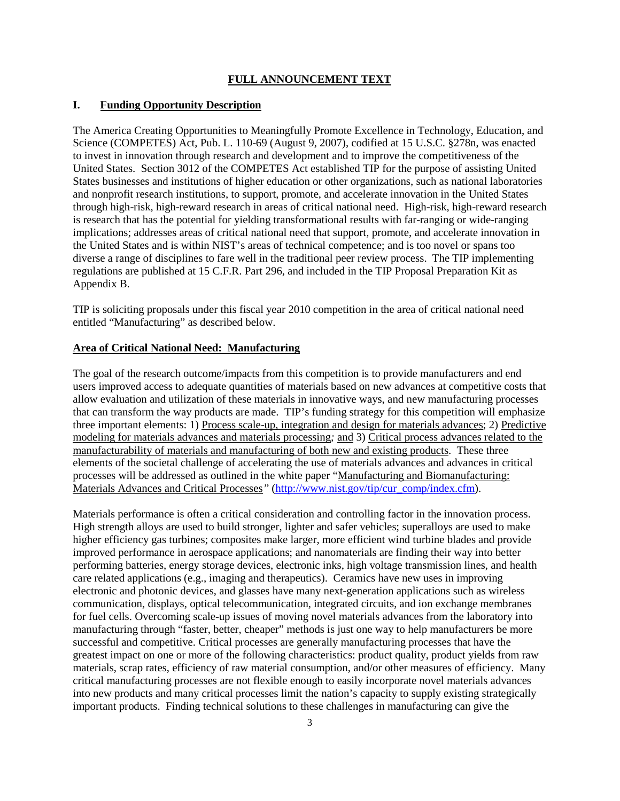#### **FULL ANNOUNCEMENT TEXT**

#### **I. Funding Opportunity Description**

The America Creating Opportunities to Meaningfully Promote Excellence in Technology, Education, and Science (COMPETES) Act, Pub. L. 110-69 (August 9, 2007), codified at 15 U.S.C. §278n, was enacted to invest in innovation through research and development and to improve the competitiveness of the United States. Section 3012 of the COMPETES Act established TIP for the purpose of assisting United States businesses and institutions of higher education or other organizations, such as national laboratories and nonprofit research institutions, to support, promote, and accelerate innovation in the United States through high-risk, high-reward research in areas of critical national need. High-risk, high-reward research is research that has the potential for yielding transformational results with far-ranging or wide-ranging implications; addresses areas of critical national need that support, promote, and accelerate innovation in the United States and is within NIST's areas of technical competence; and is too novel or spans too diverse a range of disciplines to fare well in the traditional peer review process. The TIP implementing regulations are published at 15 C.F.R. Part 296, and included in the TIP Proposal Preparation Kit as Appendix B.

TIP is soliciting proposals under this fiscal year 2010 competition in the area of critical national need entitled "Manufacturing" as described below.

#### **Area of Critical National Need: Manufacturing**

The goal of the research outcome/impacts from this competition is to provide manufacturers and end users improved access to adequate quantities of materials based on new advances at competitive costs that allow evaluation and utilization of these materials in innovative ways, and new manufacturing processes that can transform the way products are made. TIP's funding strategy for this competition will emphasize three important elements: 1) Process scale-up, integration and design for materials advances; 2) Predictive modeling for materials advances and materials processing*;* and 3) Critical process advances related to the manufacturability of materials and manufacturing of both new and existing products. These three elements of the societal challenge of accelerating the use of materials advances and advances in critical processes will be addressed as outlined in the white paper "Manufacturing and Biomanufacturing: Materials Advances and Critical Processes*"* [\(http://www.nist.gov/tip/cur\\_comp/index.cfm\)](http://www.nist.gov/tip/cur_comp/index.cfm).

Materials performance is often a critical consideration and controlling factor in the innovation process. High strength alloys are used to build stronger, lighter and safer vehicles; superalloys are used to make higher efficiency gas turbines; composites make larger, more efficient wind turbine blades and provide improved performance in aerospace applications; and nanomaterials are finding their way into better performing batteries, energy storage devices, electronic inks, high voltage transmission lines, and health care related applications (e.g., imaging and therapeutics). Ceramics have new uses in improving electronic and photonic devices, and glasses have many next-generation applications such as wireless communication, displays, optical telecommunication, integrated circuits, and ion exchange membranes for fuel cells. Overcoming scale-up issues of moving novel materials advances from the laboratory into manufacturing through "faster, better, cheaper" methods is just one way to help manufacturers be more successful and competitive. Critical processes are generally manufacturing processes that have the greatest impact on one or more of the following characteristics: product quality, product yields from raw materials, scrap rates, efficiency of raw material consumption, and/or other measures of efficiency. Many critical manufacturing processes are not flexible enough to easily incorporate novel materials advances into new products and many critical processes limit the nation's capacity to supply existing strategically important products. Finding technical solutions to these challenges in manufacturing can give the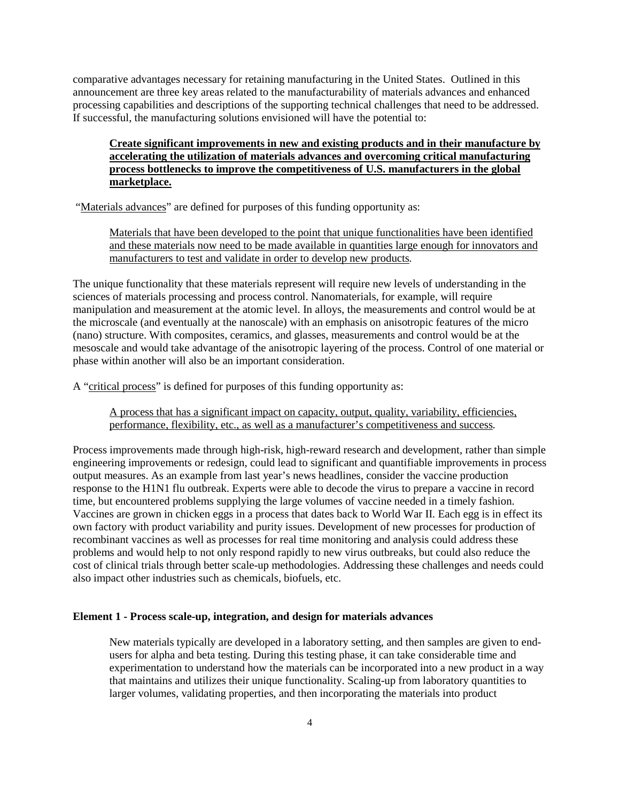comparative advantages necessary for retaining manufacturing in the United States. Outlined in this announcement are three key areas related to the manufacturability of materials advances and enhanced processing capabilities and descriptions of the supporting technical challenges that need to be addressed. If successful, the manufacturing solutions envisioned will have the potential to:

## **Create significant improvements in new and existing products and in their manufacture by accelerating the utilization of materials advances and overcoming critical manufacturing process bottlenecks to improve the competitiveness of U.S. manufacturers in the global marketplace.**

"Materials advances" are defined for purposes of this funding opportunity as:

Materials that have been developed to the point that unique functionalities have been identified and these materials now need to be made available in quantities large enough for innovators and manufacturers to test and validate in order to develop new products*.*

The unique functionality that these materials represent will require new levels of understanding in the sciences of materials processing and process control. Nanomaterials, for example, will require manipulation and measurement at the atomic level. In alloys, the measurements and control would be at the microscale (and eventually at the nanoscale) with an emphasis on anisotropic features of the micro (nano) structure. With composites, ceramics, and glasses, measurements and control would be at the mesoscale and would take advantage of the anisotropic layering of the process. Control of one material or phase within another will also be an important consideration.

A "critical process" is defined for purposes of this funding opportunity as:

A process that has a significant impact on capacity, output, quality, variability, efficiencies, performance, flexibility, etc., as well as a manufacturer's competitiveness and success*.* 

Process improvements made through high-risk, high-reward research and development, rather than simple engineering improvements or redesign, could lead to significant and quantifiable improvements in process output measures. As an example from last year's news headlines, consider the vaccine production response to the H1N1 flu outbreak. Experts were able to decode the virus to prepare a vaccine in record time, but encountered problems supplying the large volumes of vaccine needed in a timely fashion. Vaccines are grown in chicken eggs in a process that dates back to World War II. Each egg is in effect its own factory with product variability and purity issues. Development of new processes for production of recombinant vaccines as well as processes for real time monitoring and analysis could address these problems and would help to not only respond rapidly to new virus outbreaks, but could also reduce the cost of clinical trials through better scale-up methodologies. Addressing these challenges and needs could also impact other industries such as chemicals, biofuels, etc.

### **Element 1 - Process scale-up, integration, and design for materials advances**

New materials typically are developed in a laboratory setting, and then samples are given to endusers for alpha and beta testing. During this testing phase, it can take considerable time and experimentation to understand how the materials can be incorporated into a new product in a way that maintains and utilizes their unique functionality. Scaling-up from laboratory quantities to larger volumes, validating properties, and then incorporating the materials into product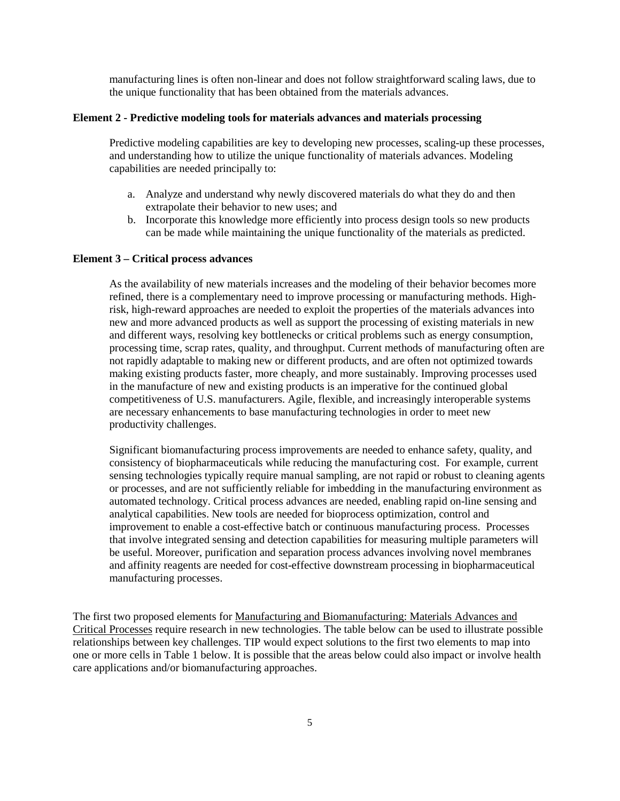manufacturing lines is often non-linear and does not follow straightforward scaling laws, due to the unique functionality that has been obtained from the materials advances.

#### **Element 2 - Predictive modeling tools for materials advances and materials processing**

Predictive modeling capabilities are key to developing new processes, scaling-up these processes, and understanding how to utilize the unique functionality of materials advances. Modeling capabilities are needed principally to:

- a. Analyze and understand why newly discovered materials do what they do and then extrapolate their behavior to new uses; and
- b. Incorporate this knowledge more efficiently into process design tools so new products can be made while maintaining the unique functionality of the materials as predicted.

#### **Element 3 – Critical process advances**

As the availability of new materials increases and the modeling of their behavior becomes more refined, there is a complementary need to improve processing or manufacturing methods. Highrisk, high-reward approaches are needed to exploit the properties of the materials advances into new and more advanced products as well as support the processing of existing materials in new and different ways, resolving key bottlenecks or critical problems such as energy consumption, processing time, scrap rates, quality, and throughput. Current methods of manufacturing often are not rapidly adaptable to making new or different products, and are often not optimized towards making existing products faster, more cheaply, and more sustainably. Improving processes used in the manufacture of new and existing products is an imperative for the continued global competitiveness of U.S. manufacturers. Agile, flexible, and increasingly interoperable systems are necessary enhancements to base manufacturing technologies in order to meet new productivity challenges.

Significant biomanufacturing process improvements are needed to enhance safety, quality, and consistency of biopharmaceuticals while reducing the manufacturing cost. For example, current sensing technologies typically require manual sampling, are not rapid or robust to cleaning agents or processes, and are not sufficiently reliable for imbedding in the manufacturing environment as automated technology. Critical process advances are needed, enabling rapid on-line sensing and analytical capabilities. New tools are needed for bioprocess optimization, control and improvement to enable a cost-effective batch or continuous manufacturing process. Processes that involve integrated sensing and detection capabilities for measuring multiple parameters will be useful. Moreover, purification and separation process advances involving novel membranes and affinity reagents are needed for cost-effective downstream processing in biopharmaceutical manufacturing processes.

The first two proposed elements for Manufacturing and Biomanufacturing: Materials Advances and Critical Processes require research in new technologies. The table below can be used to illustrate possible relationships between key challenges. TIP would expect solutions to the first two elements to map into one or more cells in Table 1 below. It is possible that the areas below could also impact or involve health care applications and/or biomanufacturing approaches.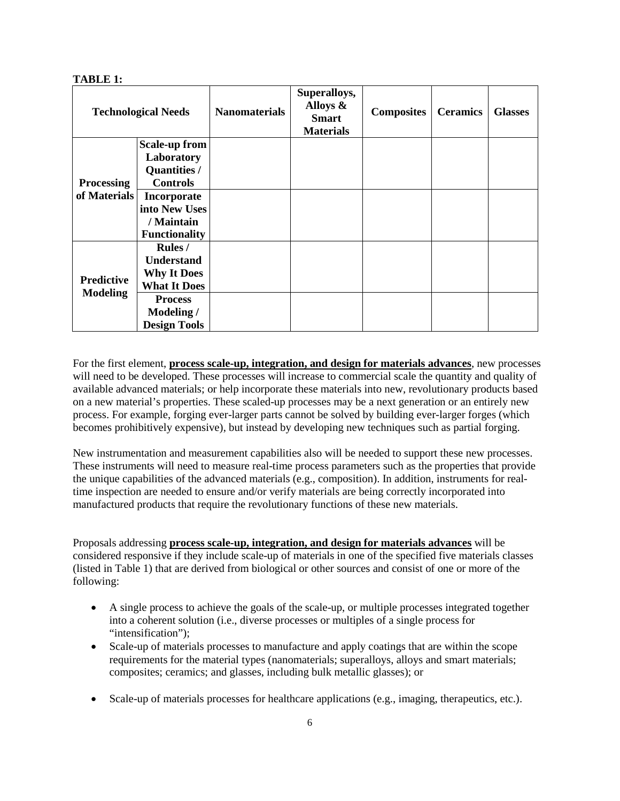### **TABLE 1:**

| <b>Technological Needs</b>           |                      | <b>Nanomaterials</b> | Superalloys,<br>Alloys &<br><b>Smart</b><br><b>Materials</b> | <b>Composites</b> | <b>Ceramics</b> | <b>Glasses</b> |
|--------------------------------------|----------------------|----------------------|--------------------------------------------------------------|-------------------|-----------------|----------------|
|                                      | <b>Scale-up from</b> |                      |                                                              |                   |                 |                |
| <b>Processing</b><br>of Materials    | Laboratory           |                      |                                                              |                   |                 |                |
|                                      | Quantities /         |                      |                                                              |                   |                 |                |
|                                      | <b>Controls</b>      |                      |                                                              |                   |                 |                |
|                                      | <b>Incorporate</b>   |                      |                                                              |                   |                 |                |
|                                      | into New Uses        |                      |                                                              |                   |                 |                |
|                                      | / Maintain           |                      |                                                              |                   |                 |                |
|                                      | <b>Functionality</b> |                      |                                                              |                   |                 |                |
| <b>Predictive</b><br><b>Modeling</b> | <b>Rules</b> /       |                      |                                                              |                   |                 |                |
|                                      | <b>Understand</b>    |                      |                                                              |                   |                 |                |
|                                      | <b>Why It Does</b>   |                      |                                                              |                   |                 |                |
|                                      | <b>What It Does</b>  |                      |                                                              |                   |                 |                |
|                                      | <b>Process</b>       |                      |                                                              |                   |                 |                |
|                                      | Modeling /           |                      |                                                              |                   |                 |                |
|                                      | <b>Design Tools</b>  |                      |                                                              |                   |                 |                |

For the first element, **process scale-up, integration, and design for materials advances**, new processes will need to be developed. These processes will increase to commercial scale the quantity and quality of available advanced materials; or help incorporate these materials into new, revolutionary products based on a new material's properties. These scaled-up processes may be a next generation or an entirely new process. For example, forging ever-larger parts cannot be solved by building ever-larger forges (which becomes prohibitively expensive), but instead by developing new techniques such as partial forging.

New instrumentation and measurement capabilities also will be needed to support these new processes. These instruments will need to measure real-time process parameters such as the properties that provide the unique capabilities of the advanced materials (e.g., composition). In addition, instruments for realtime inspection are needed to ensure and/or verify materials are being correctly incorporated into manufactured products that require the revolutionary functions of these new materials.

Proposals addressing **process scale-up, integration, and design for materials advances** will be considered responsive if they include scale-up of materials in one of the specified five materials classes (listed in Table 1) that are derived from biological or other sources and consist of one or more of the following:

- A single process to achieve the goals of the scale-up, or multiple processes integrated together into a coherent solution (i.e., diverse processes or multiples of a single process for "intensification");
- Scale-up of materials processes to manufacture and apply coatings that are within the scope requirements for the material types (nanomaterials; superalloys, alloys and smart materials; composites; ceramics; and glasses, including bulk metallic glasses); or
- Scale-up of materials processes for healthcare applications (e.g., imaging, therapeutics, etc.).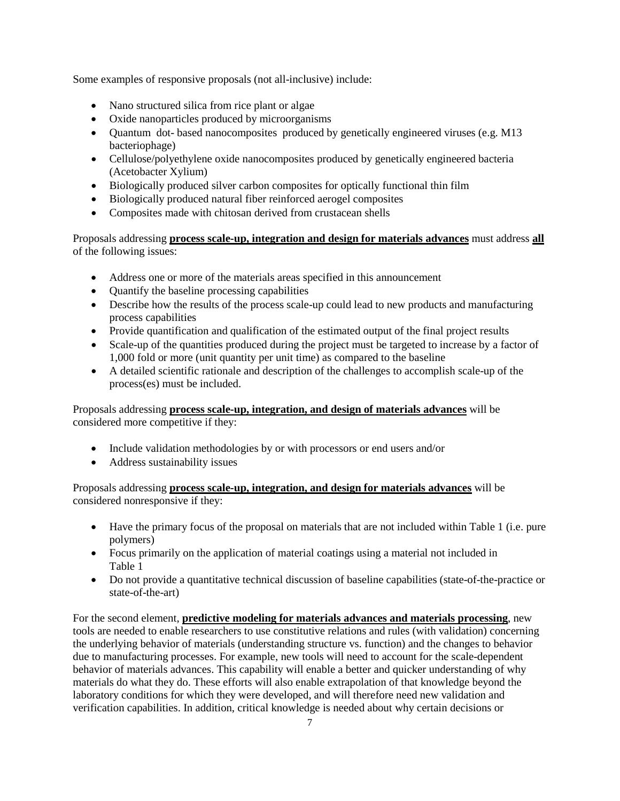Some examples of responsive proposals (not all-inclusive) include:

- Nano structured silica from rice plant or algae
- Oxide nanoparticles produced by microorganisms
- Quantum dot- based nanocomposites produced by genetically engineered viruses (e.g. M13) bacteriophage)
- Cellulose/polyethylene oxide nanocomposites produced by genetically engineered bacteria (Acetobacter Xylium)
- Biologically produced silver carbon composites for optically functional thin film
- Biologically produced natural fiber reinforced aerogel composites
- Composites made with chitosan derived from crustacean shells

Proposals addressing **process scale-up, integration and design for materials advances** must address **all** of the following issues:

- Address one or more of the materials areas specified in this announcement
- Ouantify the baseline processing capabilities
- Describe how the results of the process scale-up could lead to new products and manufacturing process capabilities
- Provide quantification and qualification of the estimated output of the final project results
- Scale-up of the quantities produced during the project must be targeted to increase by a factor of 1,000 fold or more (unit quantity per unit time) as compared to the baseline
- A detailed scientific rationale and description of the challenges to accomplish scale-up of the process(es) must be included.

Proposals addressing **process scale-up, integration, and design of materials advances** will be considered more competitive if they:

- Include validation methodologies by or with processors or end users and/or
- Address sustainability issues

Proposals addressing **process scale-up, integration, and design for materials advances** will be considered nonresponsive if they:

- Have the primary focus of the proposal on materials that are not included within Table 1 (i.e. pure polymers)
- Focus primarily on the application of material coatings using a material not included in Table 1
- Do not provide a quantitative technical discussion of baseline capabilities (state-of-the-practice or state-of-the-art)

For the second element, **predictive modeling for materials advances and materials processing**, new tools are needed to enable researchers to use constitutive relations and rules (with validation) concerning the underlying behavior of materials (understanding structure vs. function) and the changes to behavior due to manufacturing processes. For example, new tools will need to account for the scale-dependent behavior of materials advances. This capability will enable a better and quicker understanding of why materials do what they do. These efforts will also enable extrapolation of that knowledge beyond the laboratory conditions for which they were developed, and will therefore need new validation and verification capabilities. In addition, critical knowledge is needed about why certain decisions or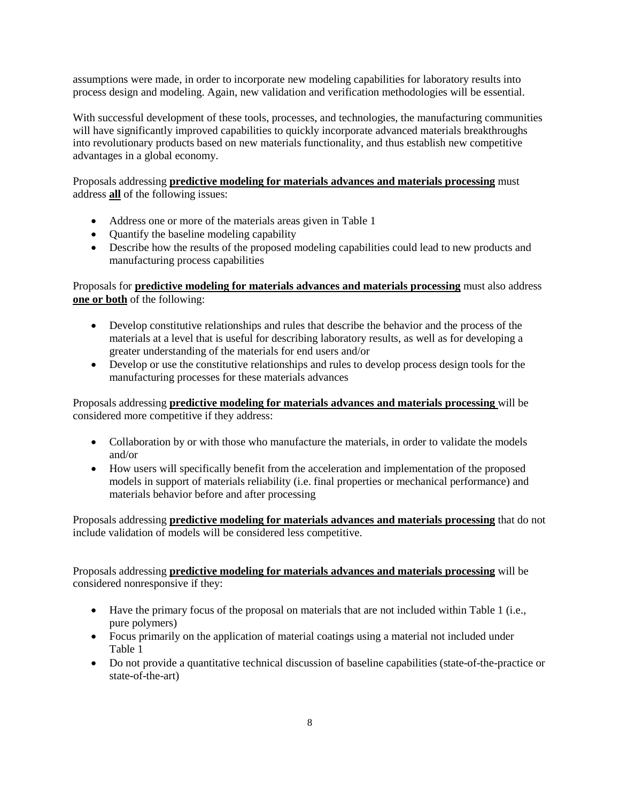assumptions were made, in order to incorporate new modeling capabilities for laboratory results into process design and modeling. Again, new validation and verification methodologies will be essential.

With successful development of these tools, processes, and technologies, the manufacturing communities will have significantly improved capabilities to quickly incorporate advanced materials breakthroughs into revolutionary products based on new materials functionality, and thus establish new competitive advantages in a global economy.

Proposals addressing **predictive modeling for materials advances and materials processing** must address **all** of the following issues:

- Address one or more of the materials areas given in Table 1
- Quantify the baseline modeling capability
- Describe how the results of the proposed modeling capabilities could lead to new products and manufacturing process capabilities

Proposals for **predictive modeling for materials advances and materials processing** must also address **one or both** of the following:

- Develop constitutive relationships and rules that describe the behavior and the process of the materials at a level that is useful for describing laboratory results, as well as for developing a greater understanding of the materials for end users and/or
- Develop or use the constitutive relationships and rules to develop process design tools for the manufacturing processes for these materials advances

Proposals addressing **predictive modeling for materials advances and materials processing** will be considered more competitive if they address:

- Collaboration by or with those who manufacture the materials, in order to validate the models and/or
- How users will specifically benefit from the acceleration and implementation of the proposed models in support of materials reliability (i.e. final properties or mechanical performance) and materials behavior before and after processing

Proposals addressing **predictive modeling for materials advances and materials processing** that do not include validation of models will be considered less competitive.

Proposals addressing **predictive modeling for materials advances and materials processing** will be considered nonresponsive if they:

- Have the primary focus of the proposal on materials that are not included within Table 1 (i.e., pure polymers)
- Focus primarily on the application of material coatings using a material not included under Table 1
- Do not provide a quantitative technical discussion of baseline capabilities (state-of-the-practice or state-of-the-art)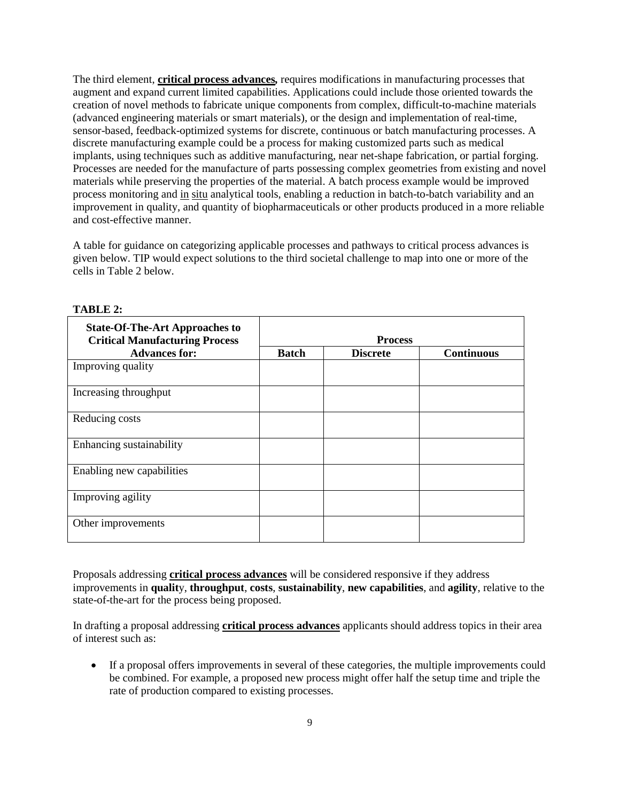The third element, **critical process advances***,* requires modifications in manufacturing processes that augment and expand current limited capabilities. Applications could include those oriented towards the creation of novel methods to fabricate unique components from complex, difficult-to-machine materials (advanced engineering materials or smart materials), or the design and implementation of real-time, sensor-based, feedback-optimized systems for discrete, continuous or batch manufacturing processes. A discrete manufacturing example could be a process for making customized parts such as medical implants, using techniques such as additive manufacturing, near net-shape fabrication, or partial forging. Processes are needed for the manufacture of parts possessing complex geometries from existing and novel materials while preserving the properties of the material. A batch process example would be improved process monitoring and in situ analytical tools, enabling a reduction in batch-to-batch variability and an improvement in quality, and quantity of biopharmaceuticals or other products produced in a more reliable and cost-effective manner.

A table for guidance on categorizing applicable processes and pathways to critical process advances is given below. TIP would expect solutions to the third societal challenge to map into one or more of the cells in Table 2 below.

| <b>State-Of-The-Art Approaches to</b><br><b>Critical Manufacturing Process</b> | <b>Process</b> |                 |                   |  |
|--------------------------------------------------------------------------------|----------------|-----------------|-------------------|--|
| <b>Advances for:</b>                                                           | <b>Batch</b>   | <b>Discrete</b> | <b>Continuous</b> |  |
| Improving quality                                                              |                |                 |                   |  |
| Increasing throughput                                                          |                |                 |                   |  |
| Reducing costs                                                                 |                |                 |                   |  |
| Enhancing sustainability                                                       |                |                 |                   |  |
| Enabling new capabilities                                                      |                |                 |                   |  |
| Improving agility                                                              |                |                 |                   |  |
| Other improvements                                                             |                |                 |                   |  |

**TABLE 2:**

Proposals addressing **critical process advances** will be considered responsive if they address improvements in **qualit**y, **throughput**, **costs**, **sustainability**, **new capabilities**, and **agility**, relative to the state-of-the-art for the process being proposed.

In drafting a proposal addressing **critical process advances** applicants should address topics in their area of interest such as:

• If a proposal offers improvements in several of these categories, the multiple improvements could be combined. For example, a proposed new process might offer half the setup time and triple the rate of production compared to existing processes.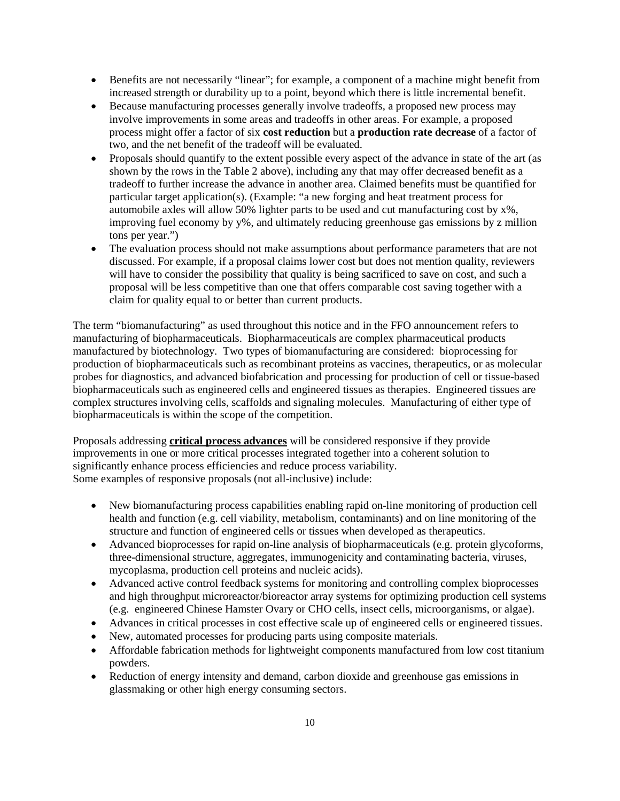- Benefits are not necessarily "linear"; for example, a component of a machine might benefit from increased strength or durability up to a point, beyond which there is little incremental benefit.
- Because manufacturing processes generally involve tradeoffs, a proposed new process may involve improvements in some areas and tradeoffs in other areas. For example, a proposed process might offer a factor of six **cost reduction** but a **production rate decrease** of a factor of two, and the net benefit of the tradeoff will be evaluated.
- Proposals should quantify to the extent possible every aspect of the advance in state of the art (as shown by the rows in the Table 2 above), including any that may offer decreased benefit as a tradeoff to further increase the advance in another area. Claimed benefits must be quantified for particular target application(s). (Example: "a new forging and heat treatment process for automobile axles will allow 50% lighter parts to be used and cut manufacturing cost by x%, improving fuel economy by y%, and ultimately reducing greenhouse gas emissions by z million tons per year.")
- The evaluation process should not make assumptions about performance parameters that are not discussed. For example, if a proposal claims lower cost but does not mention quality, reviewers will have to consider the possibility that quality is being sacrificed to save on cost, and such a proposal will be less competitive than one that offers comparable cost saving together with a claim for quality equal to or better than current products.

The term "biomanufacturing" as used throughout this notice and in the FFO announcement refers to manufacturing of biopharmaceuticals. Biopharmaceuticals are complex pharmaceutical products manufactured by biotechnology. Two types of biomanufacturing are considered: bioprocessing for production of biopharmaceuticals such as recombinant proteins as vaccines, therapeutics, or as molecular probes for diagnostics, and advanced biofabrication and processing for production of cell or tissue-based biopharmaceuticals such as engineered cells and engineered tissues as therapies. Engineered tissues are complex structures involving cells, scaffolds and signaling molecules. Manufacturing of either type of biopharmaceuticals is within the scope of the competition.

Proposals addressing **critical process advances** will be considered responsive if they provide improvements in one or more critical processes integrated together into a coherent solution to significantly enhance process efficiencies and reduce process variability. Some examples of responsive proposals (not all-inclusive) include:

- New biomanufacturing process capabilities enabling rapid on-line monitoring of production cell health and function (e.g. cell viability, metabolism, contaminants) and on line monitoring of the structure and function of engineered cells or tissues when developed as therapeutics.
- Advanced bioprocesses for rapid on-line analysis of biopharmaceuticals (e.g. protein glycoforms, three-dimensional structure, aggregates, immunogenicity and contaminating bacteria, viruses, mycoplasma, production cell proteins and nucleic acids).
- Advanced active control feedback systems for monitoring and controlling complex bioprocesses and high throughput microreactor/bioreactor array systems for optimizing production cell systems (e.g. engineered Chinese Hamster Ovary or CHO cells, insect cells, microorganisms, or algae).
- Advances in critical processes in cost effective scale up of engineered cells or engineered tissues.
- New, automated processes for producing parts using composite materials.
- Affordable fabrication methods for lightweight components manufactured from low cost titanium powders.
- Reduction of energy intensity and demand, carbon dioxide and greenhouse gas emissions in glassmaking or other high energy consuming sectors.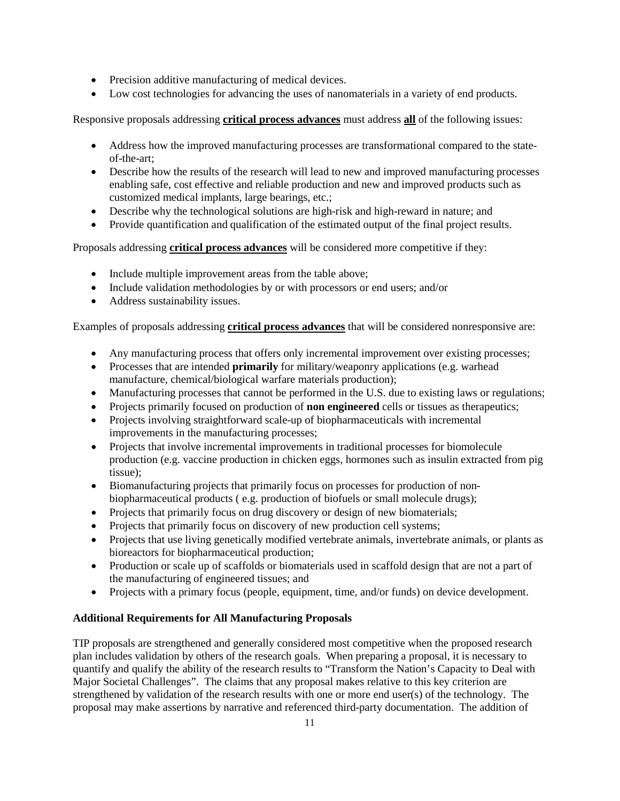- Precision additive manufacturing of medical devices.
- Low cost technologies for advancing the uses of nanomaterials in a variety of end products.

Responsive proposals addressing **critical process advances** must address **all** of the following issues:

- Address how the improved manufacturing processes are transformational compared to the stateof-the-art;
- Describe how the results of the research will lead to new and improved manufacturing processes enabling safe, cost effective and reliable production and new and improved products such as customized medical implants, large bearings, etc.;
- Describe why the technological solutions are high-risk and high-reward in nature; and
- Provide quantification and qualification of the estimated output of the final project results.

Proposals addressing **critical process advances** will be considered more competitive if they:

- Include multiple improvement areas from the table above;
- Include validation methodologies by or with processors or end users; and/or
- Address sustainability issues.

Examples of proposals addressing **critical process advances** that will be considered nonresponsive are:

- Any manufacturing process that offers only incremental improvement over existing processes;
- Processes that are intended **primarily** for military/weaponry applications (e.g. warhead manufacture, chemical/biological warfare materials production);
- Manufacturing processes that cannot be performed in the U.S. due to existing laws or regulations;
- Projects primarily focused on production of **non engineered** cells or tissues as therapeutics;
- Projects involving straightforward scale-up of biopharmaceuticals with incremental improvements in the manufacturing processes;
- Projects that involve incremental improvements in traditional processes for biomolecule production (e.g. vaccine production in chicken eggs, hormones such as insulin extracted from pig tissue);
- Biomanufacturing projects that primarily focus on processes for production of nonbiopharmaceutical products ( e.g. production of biofuels or small molecule drugs);
- Projects that primarily focus on drug discovery or design of new biomaterials;
- Projects that primarily focus on discovery of new production cell systems;
- Projects that use living genetically modified vertebrate animals, invertebrate animals, or plants as bioreactors for biopharmaceutical production;
- Production or scale up of scaffolds or biomaterials used in scaffold design that are not a part of the manufacturing of engineered tissues; and
- Projects with a primary focus (people, equipment, time, and/or funds) on device development.

## **Additional Requirements for All Manufacturing Proposals**

TIP proposals are strengthened and generally considered most competitive when the proposed research plan includes validation by others of the research goals. When preparing a proposal, it is necessary to quantify and qualify the ability of the research results to "Transform the Nation's Capacity to Deal with Major Societal Challenges". The claims that any proposal makes relative to this key criterion are strengthened by validation of the research results with one or more end user(s) of the technology. The proposal may make assertions by narrative and referenced third-party documentation. The addition of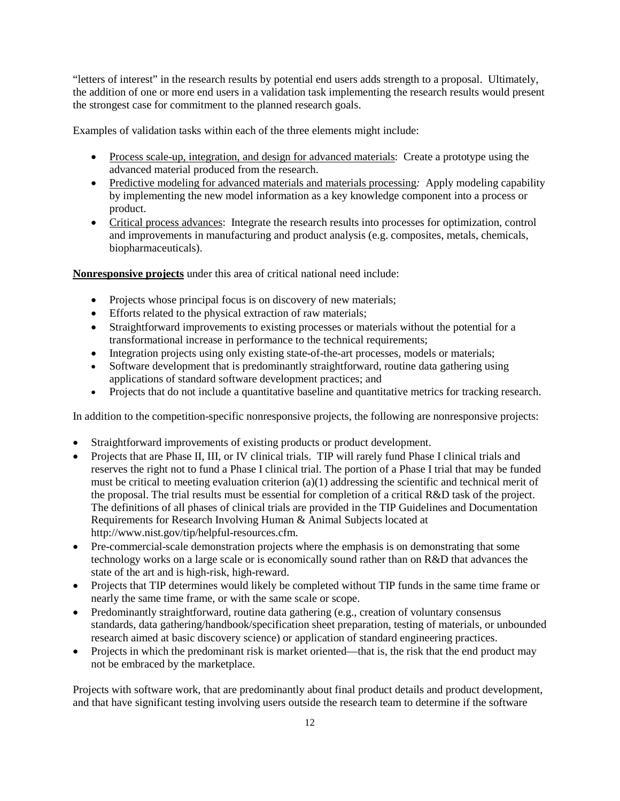"letters of interest" in the research results by potential end users adds strength to a proposal. Ultimately, the addition of one or more end users in a validation task implementing the research results would present the strongest case for commitment to the planned research goals.

Examples of validation tasks within each of the three elements might include:

- Process scale-up, integration, and design for advanced materials: Create a prototype using the advanced material produced from the research.
- Predictive modeling for advanced materials and materials processing*:* Apply modeling capability by implementing the new model information as a key knowledge component into a process or product.
- Critical process advances: Integrate the research results into processes for optimization, control and improvements in manufacturing and product analysis (e.g. composites, metals, chemicals, biopharmaceuticals).

**Nonresponsive projects** under this area of critical national need include:

- Projects whose principal focus is on discovery of new materials;
- Efforts related to the physical extraction of raw materials;
- Straightforward improvements to existing processes or materials without the potential for a transformational increase in performance to the technical requirements;
- Integration projects using only existing state-of-the-art processes, models or materials;
- Software development that is predominantly straightforward, routine data gathering using applications of standard software development practices; and
- Projects that do not include a quantitative baseline and quantitative metrics for tracking research.

In addition to the competition-specific nonresponsive projects, the following are nonresponsive projects:

- Straightforward improvements of existing products or product development.
- Projects that are Phase II, III, or IV clinical trials. TIP will rarely fund Phase I clinical trials and reserves the right not to fund a Phase I clinical trial. The portion of a Phase I trial that may be funded must be critical to meeting evaluation criterion (a)(1) addressing the scientific and technical merit of the proposal. The trial results must be essential for completion of a critical R&D task of the project. The definitions of all phases of clinical trials are provided in the TIP Guidelines and Documentation Requirements for Research Involving Human & Animal Subjects located at [http://www.nist.gov/tip/helpful-resources.cfm.](http://www.nist.gov/tip/helpful.html)
- Pre-commercial-scale demonstration projects where the emphasis is on demonstrating that some technology works on a large scale or is economically sound rather than on R&D that advances the state of the art and is high-risk, high-reward.
- Projects that TIP determines would likely be completed without TIP funds in the same time frame or nearly the same time frame, or with the same scale or scope.
- Predominantly straightforward, routine data gathering (e.g., creation of voluntary consensus standards, data gathering/handbook/specification sheet preparation, testing of materials, or unbounded research aimed at basic discovery science) or application of standard engineering practices.
- Projects in which the predominant risk is market oriented—that is, the risk that the end product may not be embraced by the marketplace.

Projects with software work, that are predominantly about final product details and product development, and that have significant testing involving users outside the research team to determine if the software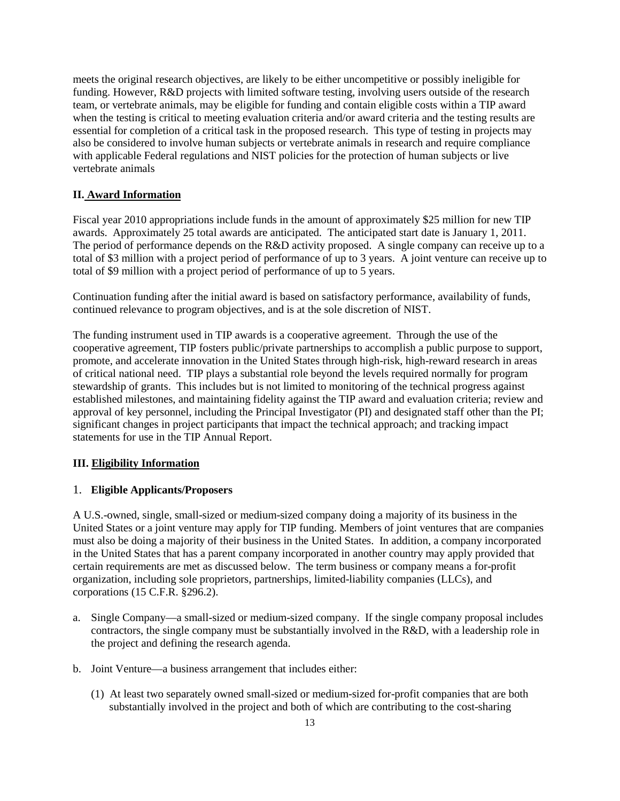meets the original research objectives, are likely to be either uncompetitive or possibly ineligible for funding. However, R&D projects with limited software testing, involving users outside of the research team, or vertebrate animals, may be eligible for funding and contain eligible costs within a TIP award when the testing is critical to meeting evaluation criteria and/or award criteria and the testing results are essential for completion of a critical task in the proposed research. This type of testing in projects may also be considered to involve human subjects or vertebrate animals in research and require compliance with applicable Federal regulations and NIST policies for the protection of human subjects or live vertebrate animals

## **II. Award Information**

Fiscal year 2010 appropriations include funds in the amount of approximately \$25 million for new TIP awards. Approximately 25 total awards are anticipated. The anticipated start date is January 1, 2011. The period of performance depends on the R&D activity proposed. A single company can receive up to a total of \$3 million with a project period of performance of up to 3 years. A joint venture can receive up to total of \$9 million with a project period of performance of up to 5 years.

Continuation funding after the initial award is based on satisfactory performance, availability of funds, continued relevance to program objectives, and is at the sole discretion of NIST.

The funding instrument used in TIP awards is a cooperative agreement. Through the use of the cooperative agreement, TIP fosters public/private partnerships to accomplish a public purpose to support, promote, and accelerate innovation in the United States through high-risk, high-reward research in areas of critical national need. TIP plays a substantial role beyond the levels required normally for program stewardship of grants. This includes but is not limited to monitoring of the technical progress against established milestones, and maintaining fidelity against the TIP award and evaluation criteria; review and approval of key personnel, including the Principal Investigator (PI) and designated staff other than the PI; significant changes in project participants that impact the technical approach; and tracking impact statements for use in the TIP Annual Report.

## **III. Eligibility Information**

## 1. **Eligible Applicants/Proposers**

A U.S.-owned, single, small-sized or medium-sized company doing a majority of its business in the United States or a joint venture may apply for TIP funding. Members of joint ventures that are companies must also be doing a majority of their business in the United States. In addition, a company incorporated in the United States that has a parent company incorporated in another country may apply provided that certain requirements are met as discussed below. The term business or company means a for-profit organization, including sole proprietors, partnerships, limited-liability companies (LLCs), and corporations (15 C.F.R. §296.2).

- a. Single Company—a small-sized or medium-sized company. If the single company proposal includes contractors, the single company must be substantially involved in the R&D, with a leadership role in the project and defining the research agenda.
- b. Joint Venture—a business arrangement that includes either:
	- (1) At least two separately owned small-sized or medium-sized for-profit companies that are both substantially involved in the project and both of which are contributing to the cost-sharing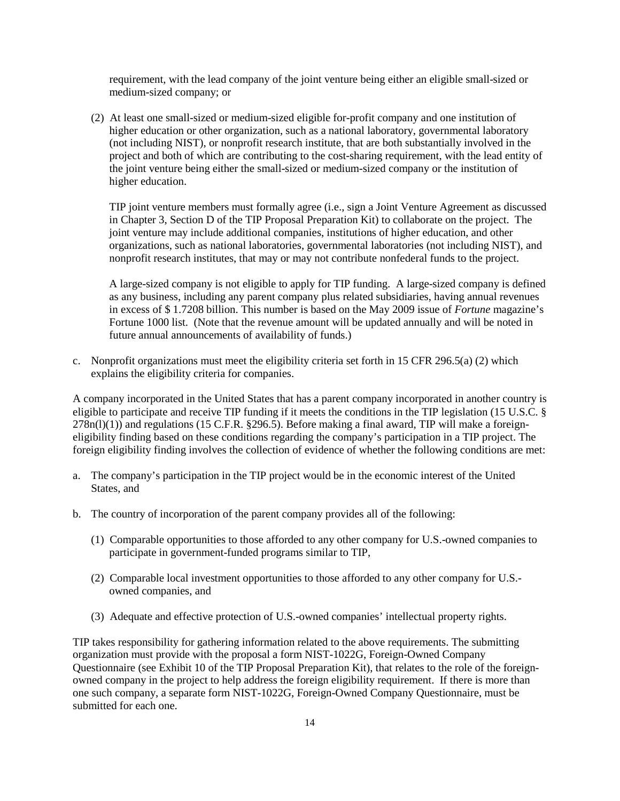requirement, with the lead company of the joint venture being either an eligible small-sized or medium-sized company; or

(2) At least one small-sized or medium-sized eligible for-profit company and one institution of higher education or other organization, such as a national laboratory, governmental laboratory (not including NIST), or nonprofit research institute, that are both substantially involved in the project and both of which are contributing to the cost-sharing requirement, with the lead entity of the joint venture being either the small-sized or medium-sized company or the institution of higher education.

TIP joint venture members must formally agree (i.e., sign a Joint Venture Agreement as discussed in Chapter 3, Section D of the TIP Proposal Preparation Kit) to collaborate on the project. The joint venture may include additional companies, institutions of higher education, and other organizations, such as national laboratories, governmental laboratories (not including NIST), and nonprofit research institutes, that may or may not contribute nonfederal funds to the project.

A large-sized company is not eligible to apply for TIP funding. A large-sized company is defined as any business, including any parent company plus related subsidiaries, having annual revenues in excess of \$ 1.7208 billion. This number is based on the May 2009 issue of *Fortune* magazine's Fortune 1000 list. (Note that the revenue amount will be updated annually and will be noted in future annual announcements of availability of funds.)

c. Nonprofit organizations must meet the eligibility criteria set forth in 15 CFR 296.5(a) (2) which explains the eligibility criteria for companies.

A company incorporated in the United States that has a parent company incorporated in another country is eligible to participate and receive TIP funding if it meets the conditions in the TIP legislation (15 U.S.C. §  $278n(l)(1)$ ) and regulations (15 C.F.R. §296.5). Before making a final award, TIP will make a foreigneligibility finding based on these conditions regarding the company's participation in a TIP project. The foreign eligibility finding involves the collection of evidence of whether the following conditions are met:

- a. The company's participation in the TIP project would be in the economic interest of the United States, and
- b. The country of incorporation of the parent company provides all of the following:
	- (1) Comparable opportunities to those afforded to any other company for U.S.-owned companies to participate in government-funded programs similar to TIP,
	- (2) Comparable local investment opportunities to those afforded to any other company for U.S. owned companies, and
	- (3) Adequate and effective protection of U.S.-owned companies' intellectual property rights.

TIP takes responsibility for gathering information related to the above requirements. The submitting organization must provide with the proposal a form NIST-1022G, Foreign-Owned Company Questionnaire (see Exhibit 10 of the TIP Proposal Preparation Kit), that relates to the role of the foreignowned company in the project to help address the foreign eligibility requirement. If there is more than one such company, a separate form NIST-1022G, Foreign-Owned Company Questionnaire, must be submitted for each one.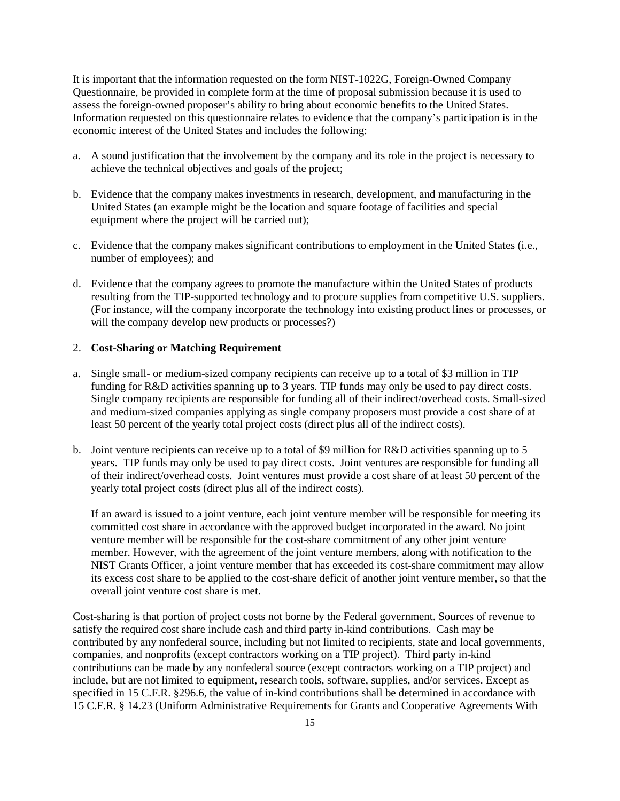It is important that the information requested on the form NIST-1022G, Foreign-Owned Company Questionnaire, be provided in complete form at the time of proposal submission because it is used to assess the foreign-owned proposer's ability to bring about economic benefits to the United States. Information requested on this questionnaire relates to evidence that the company's participation is in the economic interest of the United States and includes the following:

- a. A sound justification that the involvement by the company and its role in the project is necessary to achieve the technical objectives and goals of the project;
- b. Evidence that the company makes investments in research, development, and manufacturing in the United States (an example might be the location and square footage of facilities and special equipment where the project will be carried out);
- c. Evidence that the company makes significant contributions to employment in the United States (i.e., number of employees); and
- d. Evidence that the company agrees to promote the manufacture within the United States of products resulting from the TIP-supported technology and to procure supplies from competitive U.S. suppliers. (For instance, will the company incorporate the technology into existing product lines or processes, or will the company develop new products or processes?)

#### 2. **Cost-Sharing or Matching Requirement**

- a. Single small- or medium-sized company recipients can receive up to a total of \$3 million in TIP funding for R&D activities spanning up to 3 years. TIP funds may only be used to pay direct costs. Single company recipients are responsible for funding all of their indirect/overhead costs. Small-sized and medium-sized companies applying as single company proposers must provide a cost share of at least 50 percent of the yearly total project costs (direct plus all of the indirect costs).
- b. Joint venture recipients can receive up to a total of \$9 million for R&D activities spanning up to 5 years. TIP funds may only be used to pay direct costs. Joint ventures are responsible for funding all of their indirect/overhead costs. Joint ventures must provide a cost share of at least 50 percent of the yearly total project costs (direct plus all of the indirect costs).

If an award is issued to a joint venture, each joint venture member will be responsible for meeting its committed cost share in accordance with the approved budget incorporated in the award. No joint venture member will be responsible for the cost-share commitment of any other joint venture member. However, with the agreement of the joint venture members, along with notification to the NIST Grants Officer, a joint venture member that has exceeded its cost-share commitment may allow its excess cost share to be applied to the cost-share deficit of another joint venture member, so that the overall joint venture cost share is met.

Cost-sharing is that portion of project costs not borne by the Federal government. Sources of revenue to satisfy the required cost share include cash and third party in-kind contributions. Cash may be contributed by any nonfederal source, including but not limited to recipients, state and local governments, companies, and nonprofits (except contractors working on a TIP project). Third party in-kind contributions can be made by any nonfederal source (except contractors working on a TIP project) and include, but are not limited to equipment, research tools, software, supplies, and/or services. Except as specified in 15 C.F.R. §296.6, the value of in-kind contributions shall be determined in accordance with 15 C.F.R. § 14.23 (Uniform Administrative Requirements for Grants and Cooperative Agreements With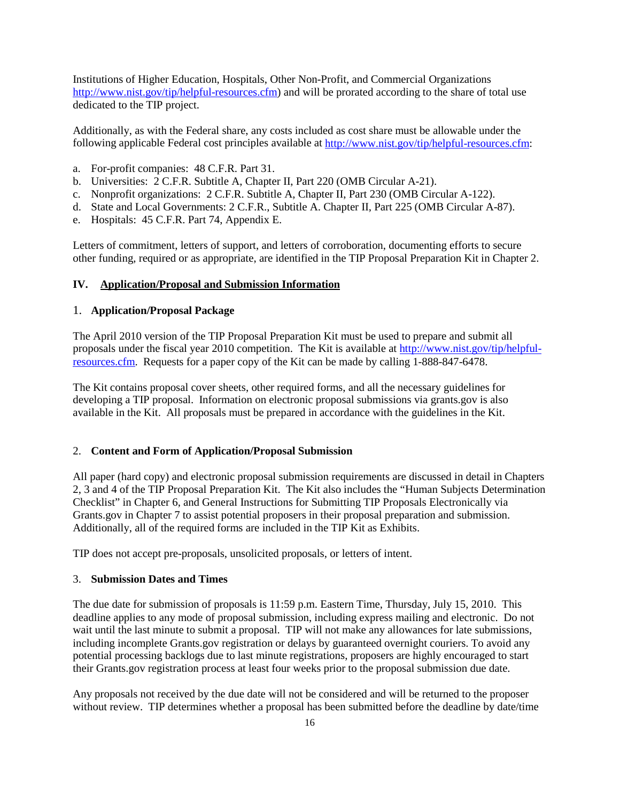Institutions of Higher Education, Hospitals, Other Non-Profit, and Commercial Organizations [http://www.nist.gov/tip/helpful-resources.cfm\)](http://www.nist.gov/tip/helpful-resources.cfm) and will be prorated according to the share of total use dedicated to the TIP project.

Additionally, as with the Federal share, any costs included as cost share must be allowable under the following applicable Federal cost principles available at [http://www.nist.gov/tip/helpful-resources.cfm:](http://www.nist.gov/tip/helpful-resources.cfm)

- a. For-profit companies: 48 C.F.R. Part 31.
- b. Universities: 2 C.F.R. Subtitle A, Chapter II, Part 220 (OMB Circular A-21).
- c. Nonprofit organizations: 2 C.F.R. Subtitle A, Chapter II, Part 230 (OMB Circular A-122).
- d. State and Local Governments: 2 C.F.R., Subtitle A. Chapter II, Part 225 (OMB Circular A-87).
- e. Hospitals: 45 C.F.R. Part 74, Appendix E.

Letters of commitment, letters of support, and letters of corroboration, documenting efforts to secure other funding, required or as appropriate, are identified in the TIP Proposal Preparation Kit in Chapter 2.

#### **IV. Application/Proposal and Submission Information**

#### 1. **Application/Proposal Package**

The April 2010 version of the TIP Proposal Preparation Kit must be used to prepare and submit all proposals under the fiscal year 2010 competition. The Kit is available at [http://www.nist.gov/tip/helpful](http://www.nist.gov/tip/helpful-resources.cfm)[resources.cfm.](http://www.nist.gov/tip/helpful-resources.cfm) Requests for a paper copy of the Kit can be made by calling 1-888-847-6478.

The Kit contains proposal cover sheets, other required forms, and all the necessary guidelines for developing a TIP proposal. Information on electronic proposal submissions via grants.gov is also available in the Kit. All proposals must be prepared in accordance with the guidelines in the Kit.

#### 2. **Content and Form of Application/Proposal Submission**

All paper (hard copy) and electronic proposal submission requirements are discussed in detail in Chapters 2, 3 and 4 of the TIP Proposal Preparation Kit. The Kit also includes the "Human Subjects Determination Checklist" in Chapter 6, and General Instructions for Submitting TIP Proposals Electronically via Grants.gov in Chapter 7 to assist potential proposers in their proposal preparation and submission. Additionally, all of the required forms are included in the TIP Kit as Exhibits.

TIP does not accept pre-proposals, unsolicited proposals, or letters of intent.

### 3. **Submission Dates and Times**

The due date for submission of proposals is 11:59 p.m. Eastern Time, Thursday, July 15, 2010. This deadline applies to any mode of proposal submission, including express mailing and electronic. Do not wait until the last minute to submit a proposal. TIP will not make any allowances for late submissions, including incomplete Grants.gov registration or delays by guaranteed overnight couriers. To avoid any potential processing backlogs due to last minute registrations, proposers are highly encouraged to start their Grants.gov registration process at least four weeks prior to the proposal submission due date.

Any proposals not received by the due date will not be considered and will be returned to the proposer without review. TIP determines whether a proposal has been submitted before the deadline by date/time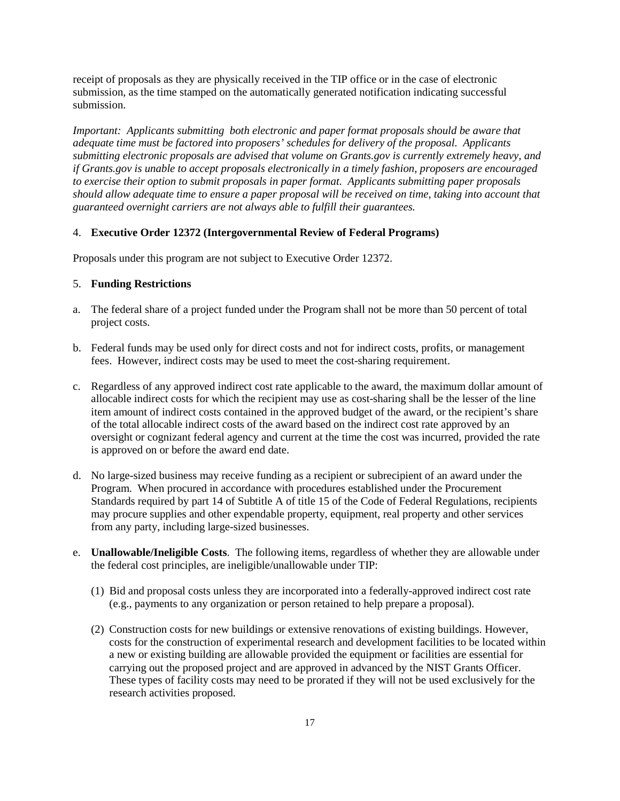receipt of proposals as they are physically received in the TIP office or in the case of electronic submission, as the time stamped on the automatically generated notification indicating successful submission.

*Important: Applicants submitting both electronic and paper format proposals should be aware that adequate time must be factored into proposers' schedules for delivery of the proposal. Applicants submitting electronic proposals are advised that volume on Grants.gov is currently extremely heavy, and if Grants.gov is unable to accept proposals electronically in a timely fashion, proposers are encouraged to exercise their option to submit proposals in paper format. Applicants submitting paper proposals should allow adequate time to ensure a paper proposal will be received on time, taking into account that guaranteed overnight carriers are not always able to fulfill their guarantees.* 

### 4. **Executive Order 12372 (Intergovernmental Review of Federal Programs)**

Proposals under this program are not subject to Executive Order 12372.

## 5. **Funding Restrictions**

- a. The federal share of a project funded under the Program shall not be more than 50 percent of total project costs.
- b. Federal funds may be used only for direct costs and not for indirect costs, profits, or management fees. However, indirect costs may be used to meet the cost-sharing requirement.
- c. Regardless of any approved indirect cost rate applicable to the award, the maximum dollar amount of allocable indirect costs for which the recipient may use as cost-sharing shall be the lesser of the line item amount of indirect costs contained in the approved budget of the award, or the recipient's share of the total allocable indirect costs of the award based on the indirect cost rate approved by an oversight or cognizant federal agency and current at the time the cost was incurred, provided the rate is approved on or before the award end date.
- d. No large-sized business may receive funding as a recipient or subrecipient of an award under the Program. When procured in accordance with procedures established under the Procurement Standards required by part 14 of Subtitle A of title 15 of the Code of Federal Regulations, recipients may procure supplies and other expendable property, equipment, real property and other services from any party, including large-sized businesses.
- e. **Unallowable/Ineligible Costs**. The following items, regardless of whether they are allowable under the federal cost principles, are ineligible/unallowable under TIP:
	- (1) Bid and proposal costs unless they are incorporated into a federally-approved indirect cost rate (e.g., payments to any organization or person retained to help prepare a proposal).
	- (2) Construction costs for new buildings or extensive renovations of existing buildings. However, costs for the construction of experimental research and development facilities to be located within a new or existing building are allowable provided the equipment or facilities are essential for carrying out the proposed project and are approved in advanced by the NIST Grants Officer. These types of facility costs may need to be prorated if they will not be used exclusively for the research activities proposed.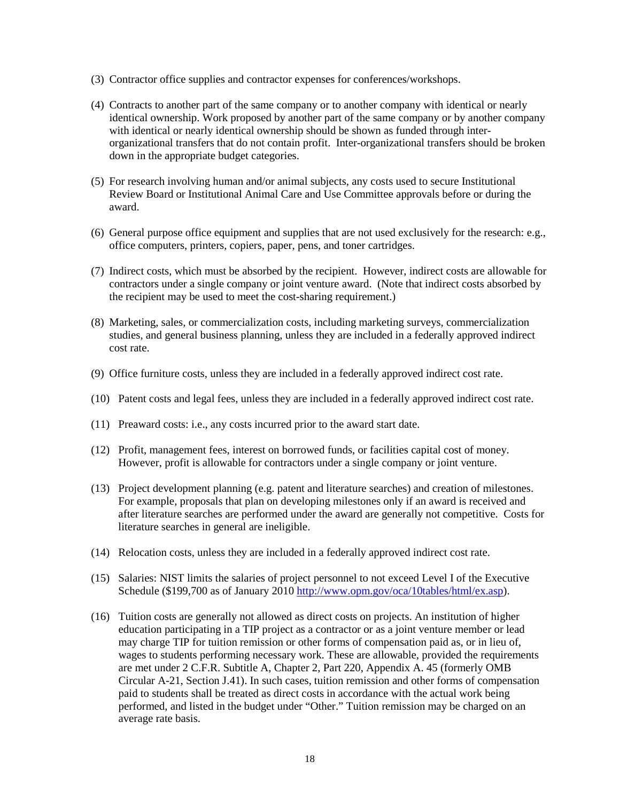- (3) Contractor office supplies and contractor expenses for conferences/workshops.
- (4) Contracts to another part of the same company or to another company with identical or nearly identical ownership. Work proposed by another part of the same company or by another company with identical or nearly identical ownership should be shown as funded through interorganizational transfers that do not contain profit. Inter-organizational transfers should be broken down in the appropriate budget categories.
- (5) For research involving human and/or animal subjects, any costs used to secure Institutional Review Board or Institutional Animal Care and Use Committee approvals before or during the award.
- (6) General purpose office equipment and supplies that are not used exclusively for the research: e.g., office computers, printers, copiers, paper, pens, and toner cartridges.
- (7) Indirect costs, which must be absorbed by the recipient. However, indirect costs are allowable for contractors under a single company or joint venture award. (Note that indirect costs absorbed by the recipient may be used to meet the cost-sharing requirement.)
- (8) Marketing, sales, or commercialization costs, including marketing surveys, commercialization studies, and general business planning, unless they are included in a federally approved indirect cost rate.
- (9) Office furniture costs, unless they are included in a federally approved indirect cost rate.
- (10) Patent costs and legal fees, unless they are included in a federally approved indirect cost rate.
- (11) Preaward costs: i.e., any costs incurred prior to the award start date.
- (12) Profit, management fees, interest on borrowed funds, or facilities capital cost of money. However, profit is allowable for contractors under a single company or joint venture.
- (13) Project development planning (e.g. patent and literature searches) and creation of milestones. For example, proposals that plan on developing milestones only if an award is received and after literature searches are performed under the award are generally not competitive. Costs for literature searches in general are ineligible.
- (14) Relocation costs, unless they are included in a federally approved indirect cost rate.
- (15) Salaries: NIST limits the salaries of project personnel to not exceed Level I of the Executive Schedule (\$199,700 as of January 2010 [http://www.opm.gov/oca/10tables/html/ex.asp\)](http://www.opm.gov/oca/10tables/html/ex.asp).
- (16) Tuition costs are generally not allowed as direct costs on projects. An institution of higher education participating in a TIP project as a contractor or as a joint venture member or lead may charge TIP for tuition remission or other forms of compensation paid as, or in lieu of, wages to students performing necessary work. These are allowable, provided the requirements are met under 2 C.F.R. Subtitle A, Chapter 2, Part 220, Appendix A. 45 (formerly OMB Circular A-21, Section J.41). In such cases, tuition remission and other forms of compensation paid to students shall be treated as direct costs in accordance with the actual work being performed, and listed in the budget under "Other." Tuition remission may be charged on an average rate basis.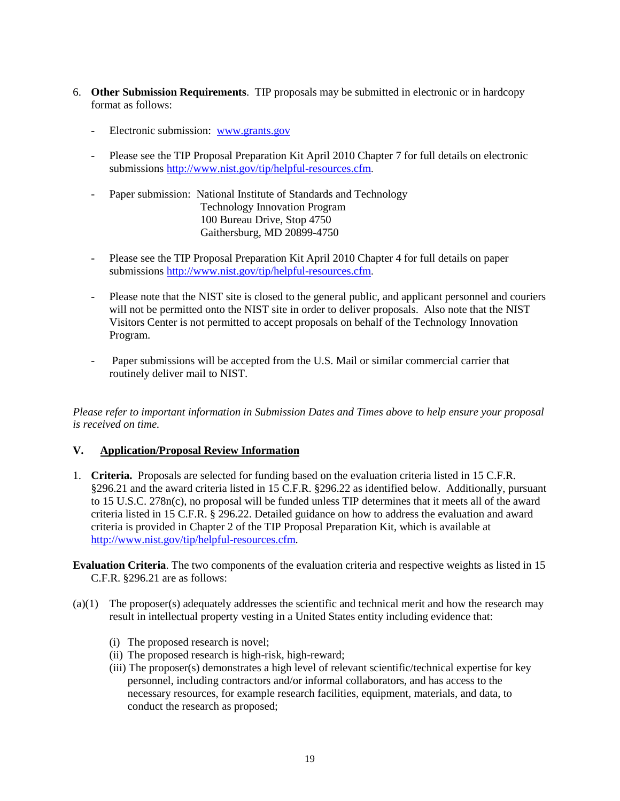- 6. **Other Submission Requirements**. TIP proposals may be submitted in electronic or in hardcopy format as follows:
	- Electronic submission: [www.grants.gov](http://www.grants.gov/)
	- Please see the TIP Proposal Preparation Kit April 2010 Chapter 7 for full details on electronic submissions [http://www.nist.gov/tip/helpful-resources.cfm.](http://www.nist.gov/tip/helpful-resources.cfm)
	- Paper submission: National Institute of Standards and Technology Technology Innovation Program 100 Bureau Drive, Stop 4750 Gaithersburg, MD 20899-4750
	- Please see the TIP Proposal Preparation Kit April 2010 Chapter 4 for full details on paper submissions [http://www.nist.gov/tip/helpful-resources.cfm.](http://www.nist.gov/tip/helpful-resources.cfm)
	- Please note that the NIST site is closed to the general public, and applicant personnel and couriers will not be permitted onto the NIST site in order to deliver proposals. Also note that the NIST Visitors Center is not permitted to accept proposals on behalf of the Technology Innovation Program.
	- Paper submissions will be accepted from the U.S. Mail or similar commercial carrier that routinely deliver mail to NIST.

*Please refer to important information in Submission Dates and Times above to help ensure your proposal is received on time.* 

# **V. Application/Proposal Review Information**

- 1. **Criteria.** Proposals are selected for funding based on the evaluation criteria listed in 15 C.F.R. §296.21 and the award criteria listed in 15 C.F.R. §296.22 as identified below. Additionally, pursuant to 15 U.S.C. 278n(c), no proposal will be funded unless TIP determines that it meets all of the award criteria listed in 15 C.F.R. § 296.22. Detailed guidance on how to address the evaluation and award criteria is provided in Chapter 2 of the TIP Proposal Preparation Kit, which is available at [http://www.nist.gov/tip/helpful-resources.cfm.](http://www.nist.gov/tip/helpful-resources.cfm)
- **Evaluation Criteria**. The two components of the evaluation criteria and respective weights as listed in 15 C.F.R. §296.21 are as follows:
- (a)(1) The proposer(s) adequately addresses the scientific and technical merit and how the research may result in intellectual property vesting in a United States entity including evidence that:
	- (i) The proposed research is novel;
	- (ii) The proposed research is high-risk, high-reward;
	- (iii) The proposer(s) demonstrates a high level of relevant scientific/technical expertise for key personnel, including contractors and/or informal collaborators, and has access to the necessary resources, for example research facilities, equipment, materials, and data, to conduct the research as proposed;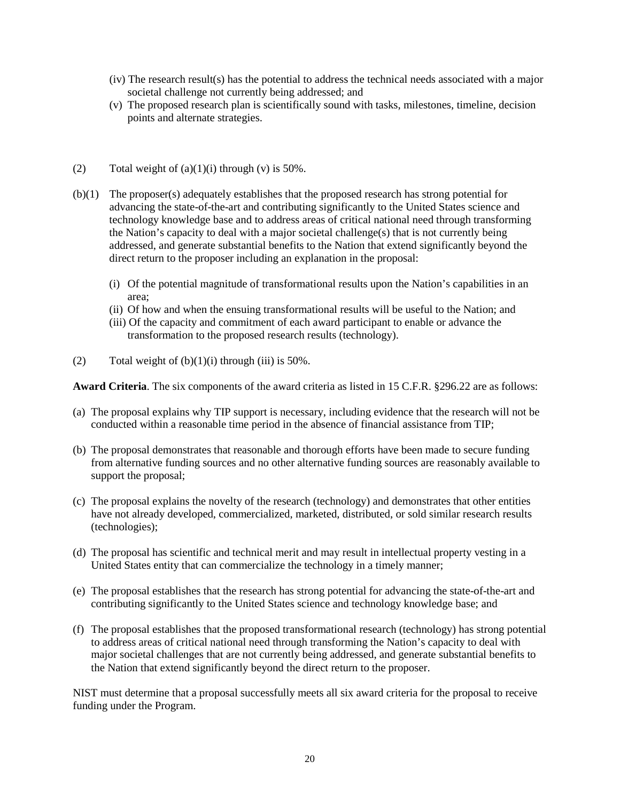- (iv) The research result(s) has the potential to address the technical needs associated with a major societal challenge not currently being addressed; and
- (v) The proposed research plan is scientifically sound with tasks, milestones, timeline, decision points and alternate strategies.
- (2) Total weight of  $(a)(1)(i)$  through  $(v)$  is 50%.
- (b)(1) The proposer(s) adequately establishes that the proposed research has strong potential for advancing the state-of-the-art and contributing significantly to the United States science and technology knowledge base and to address areas of critical national need through transforming the Nation's capacity to deal with a major societal challenge(s) that is not currently being addressed, and generate substantial benefits to the Nation that extend significantly beyond the direct return to the proposer including an explanation in the proposal:
	- (i) Of the potential magnitude of transformational results upon the Nation's capabilities in an area;
	- (ii) Of how and when the ensuing transformational results will be useful to the Nation; and
	- (iii) Of the capacity and commitment of each award participant to enable or advance the transformation to the proposed research results (technology).
- (2) Total weight of  $(b)(1)(i)$  through (iii) is 50%.

**Award Criteria**. The six components of the award criteria as listed in 15 C.F.R. §296.22 are as follows:

- (a) The proposal explains why TIP support is necessary, including evidence that the research will not be conducted within a reasonable time period in the absence of financial assistance from TIP;
- (b) The proposal demonstrates that reasonable and thorough efforts have been made to secure funding from alternative funding sources and no other alternative funding sources are reasonably available to support the proposal;
- (c) The proposal explains the novelty of the research (technology) and demonstrates that other entities have not already developed, commercialized, marketed, distributed, or sold similar research results (technologies);
- (d) The proposal has scientific and technical merit and may result in intellectual property vesting in a United States entity that can commercialize the technology in a timely manner;
- (e) The proposal establishes that the research has strong potential for advancing the state-of-the-art and contributing significantly to the United States science and technology knowledge base; and
- (f) The proposal establishes that the proposed transformational research (technology) has strong potential to address areas of critical national need through transforming the Nation's capacity to deal with major societal challenges that are not currently being addressed, and generate substantial benefits to the Nation that extend significantly beyond the direct return to the proposer.

NIST must determine that a proposal successfully meets all six award criteria for the proposal to receive funding under the Program.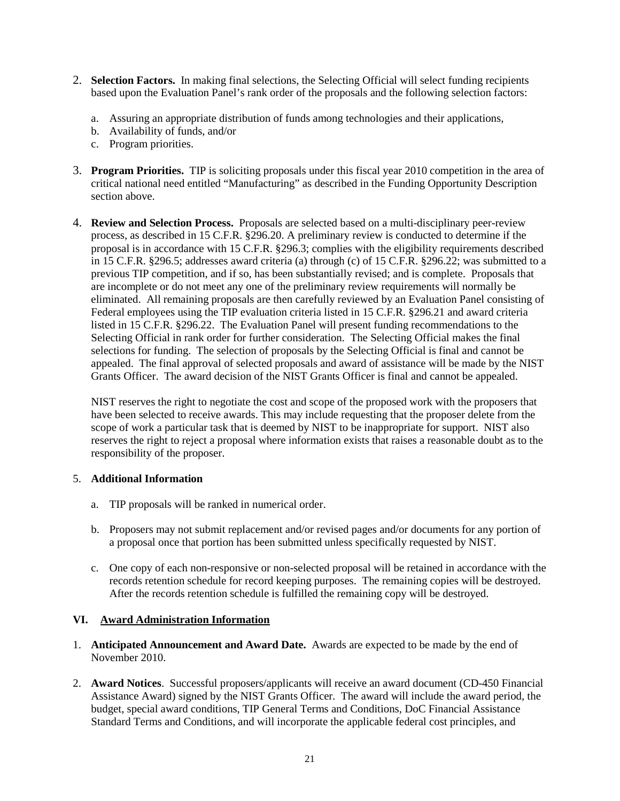- 2. **Selection Factors.** In making final selections, the Selecting Official will select funding recipients based upon the Evaluation Panel's rank order of the proposals and the following selection factors:
	- a. Assuring an appropriate distribution of funds among technologies and their applications,
	- b. Availability of funds, and/or
	- c. Program priorities.
- 3. **Program Priorities.** TIP is soliciting proposals under this fiscal year 2010 competition in the area of critical national need entitled "Manufacturing" as described in the Funding Opportunity Description section above.
- 4. **Review and Selection Process.** Proposals are selected based on a multi-disciplinary peer-review process, as described in 15 C.F.R. §296.20. A preliminary review is conducted to determine if the proposal is in accordance with 15 C.F.R. §296.3; complies with the eligibility requirements described in 15 C.F.R. §296.5; addresses award criteria (a) through (c) of 15 C.F.R. §296.22; was submitted to a previous TIP competition, and if so, has been substantially revised; and is complete. Proposals that are incomplete or do not meet any one of the preliminary review requirements will normally be eliminated. All remaining proposals are then carefully reviewed by an Evaluation Panel consisting of Federal employees using the TIP evaluation criteria listed in 15 C.F.R. §296.21 and award criteria listed in 15 C.F.R. §296.22. The Evaluation Panel will present funding recommendations to the Selecting Official in rank order for further consideration. The Selecting Official makes the final selections for funding. The selection of proposals by the Selecting Official is final and cannot be appealed. The final approval of selected proposals and award of assistance will be made by the NIST Grants Officer. The award decision of the NIST Grants Officer is final and cannot be appealed.

NIST reserves the right to negotiate the cost and scope of the proposed work with the proposers that have been selected to receive awards. This may include requesting that the proposer delete from the scope of work a particular task that is deemed by NIST to be inappropriate for support. NIST also reserves the right to reject a proposal where information exists that raises a reasonable doubt as to the responsibility of the proposer.

## 5. **Additional Information**

- a. TIP proposals will be ranked in numerical order.
- b. Proposers may not submit replacement and/or revised pages and/or documents for any portion of a proposal once that portion has been submitted unless specifically requested by NIST.
- c. One copy of each non-responsive or non-selected proposal will be retained in accordance with the records retention schedule for record keeping purposes. The remaining copies will be destroyed. After the records retention schedule is fulfilled the remaining copy will be destroyed.

## **VI. Award Administration Information**

- 1. **Anticipated Announcement and Award Date.** Awards are expected to be made by the end of November 2010.
- 2. **Award Notices**. Successful proposers/applicants will receive an award document (CD-450 Financial Assistance Award) signed by the NIST Grants Officer. The award will include the award period, the budget, special award conditions, TIP General Terms and Conditions, DoC Financial Assistance Standard Terms and Conditions, and will incorporate the applicable federal cost principles, and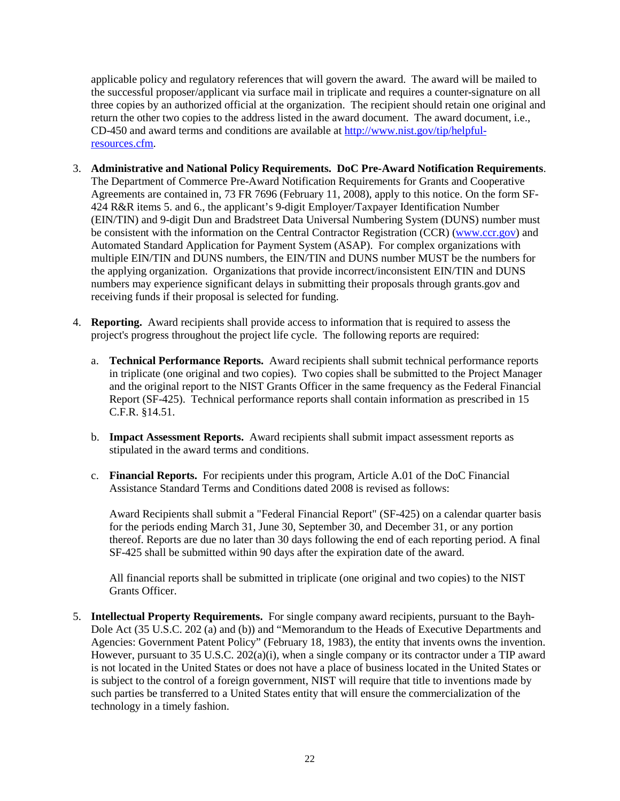applicable policy and regulatory references that will govern the award. The award will be mailed to the successful proposer/applicant via surface mail in triplicate and requires a counter-signature on all three copies by an authorized official at the organization. The recipient should retain one original and return the other two copies to the address listed in the award document. The award document, i.e., CD-450 and award terms and conditions are available at [http://www.nist.gov/tip/helpful](http://www.nist.gov/tip/helpful-resources.cfm)[resources.cfm.](http://www.nist.gov/tip/helpful-resources.cfm)

- 3. **Administrative and National Policy Requirements. DoC Pre-Award Notification Requirements**. The Department of Commerce Pre-Award Notification Requirements for Grants and Cooperative Agreements are contained in, 73 FR 7696 (February 11, 2008), apply to this notice. On the form SF-424 R&R items 5. and 6., the applicant's 9-digit Employer/Taxpayer Identification Number (EIN/TIN) and 9-digit Dun and Bradstreet Data Universal Numbering System (DUNS) number must be consistent with the information on the Central Contractor Registration (CCR) [\(www.ccr.gov\)](http://www.ccr.gov/) and Automated Standard Application for Payment System (ASAP). For complex organizations with multiple EIN/TIN and DUNS numbers, the EIN/TIN and DUNS number MUST be the numbers for the applying organization. Organizations that provide incorrect/inconsistent EIN/TIN and DUNS numbers may experience significant delays in submitting their proposals through grants.gov and receiving funds if their proposal is selected for funding.
- 4. **Reporting.** Award recipients shall provide access to information that is required to assess the project's progress throughout the project life cycle. The following reports are required:
	- a. **Technical Performance Reports.** Award recipients shall submit technical performance reports in triplicate (one original and two copies). Two copies shall be submitted to the Project Manager and the original report to the NIST Grants Officer in the same frequency as the Federal Financial Report (SF-425). Technical performance reports shall contain information as prescribed in 15 C.F.R. §14.51.
	- b. **Impact Assessment Reports.** Award recipients shall submit impact assessment reports as stipulated in the award terms and conditions.
	- c. **Financial Reports.** For recipients under this program, Article A.01 of the DoC Financial Assistance Standard Terms and Conditions dated 2008 is revised as follows:

Award Recipients shall submit a "Federal Financial Report" (SF-425) on a calendar quarter basis for the periods ending March 31, June 30, September 30, and December 31, or any portion thereof. Reports are due no later than 30 days following the end of each reporting period. A final SF-425 shall be submitted within 90 days after the expiration date of the award.

All financial reports shall be submitted in triplicate (one original and two copies) to the NIST Grants Officer.

5. **Intellectual Property Requirements.** For single company award recipients, pursuant to the Bayh-Dole Act (35 U.S.C. 202 (a) and (b)) and "Memorandum to the Heads of Executive Departments and Agencies: Government Patent Policy" (February 18, 1983), the entity that invents owns the invention. However, pursuant to 35 U.S.C. 202(a)(i), when a single company or its contractor under a TIP award is not located in the United States or does not have a place of business located in the United States or is subject to the control of a foreign government, NIST will require that title to inventions made by such parties be transferred to a United States entity that will ensure the commercialization of the technology in a timely fashion.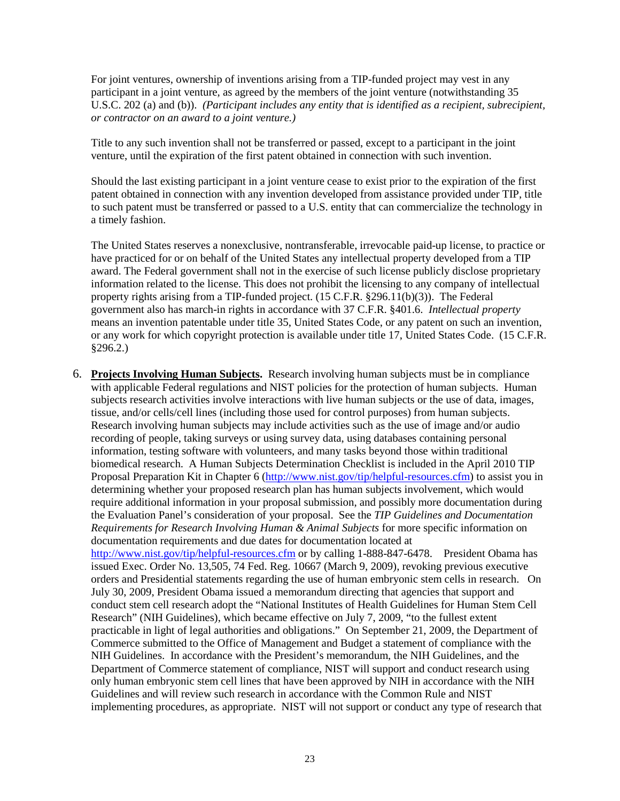For joint ventures, ownership of inventions arising from a TIP-funded project may vest in any participant in a joint venture, as agreed by the members of the joint venture (notwithstanding 35 U.S.C. 202 (a) and (b)). *(Participant includes any entity that is identified as a recipient, subrecipient, or contractor on an award to a joint venture.)*

Title to any such invention shall not be transferred or passed, except to a participant in the joint venture, until the expiration of the first patent obtained in connection with such invention.

Should the last existing participant in a joint venture cease to exist prior to the expiration of the first patent obtained in connection with any invention developed from assistance provided under TIP, title to such patent must be transferred or passed to a U.S. entity that can commercialize the technology in a timely fashion.

The United States reserves a nonexclusive, nontransferable, irrevocable paid-up license, to practice or have practiced for or on behalf of the United States any intellectual property developed from a TIP award. The Federal government shall not in the exercise of such license publicly disclose proprietary information related to the license. This does not prohibit the licensing to any company of intellectual property rights arising from a TIP-funded project. (15 C.F.R. §296.11(b)(3)). The Federal government also has march-in rights in accordance with 37 C.F.R. §401.6. *Intellectual property* means an invention patentable under title 35, United States Code, or any patent on such an invention, or any work for which copyright protection is available under title 17, United States Code. (15 C.F.R. §296.2.)

6. **Projects Involving Human Subjects.** Research involving human subjects must be in compliance with applicable Federal regulations and NIST policies for the protection of human subjects. Human subjects research activities involve interactions with live human subjects or the use of data, images, tissue, and/or cells/cell lines (including those used for control purposes) from human subjects. Research involving human subjects may include activities such as the use of image and/or audio recording of people, taking surveys or using survey data, using databases containing personal information, testing software with volunteers, and many tasks beyond those within traditional biomedical research. A Human Subjects Determination Checklist is included in the April 2010 TIP Proposal Preparation Kit in Chapter 6 (http://[www.nist.gov/tip/helpful-resources.cfm](http://www.nist.gov/tip/helpful-resources.cfm)) to assist you in determining whether your proposed research plan has human subjects involvement, which would require additional information in your proposal submission, and possibly more documentation during the Evaluation Panel's consideration of your proposal. See the *TIP Guidelines and Documentation Requirements for Research Involving Human & Animal Subjects* for more specific information on documentation requirements and due dates for documentation located at http://[www.nist.gov/tip/helpful-resources.cfm](http://www.nist.gov/tip/helpful-resources.cfm) or by calling 1-888-847-6478. President Obama has issued Exec. Order No. 13,505, 74 Fed. Reg. 10667 (March 9, 2009), revoking previous executive orders and Presidential statements regarding the use of human embryonic stem cells in research. On July 30, 2009, President Obama issued a memorandum directing that agencies that support and conduct stem cell research adopt the "National Institutes of Health Guidelines for Human Stem Cell Research" (NIH Guidelines), which became effective on July 7, 2009, "to the fullest extent practicable in light of legal authorities and obligations." On September 21, 2009, the Department of Commerce submitted to the Office of Management and Budget a statement of compliance with the NIH Guidelines. In accordance with the President's memorandum, the NIH Guidelines, and the Department of Commerce statement of compliance, NIST will support and conduct research using only human embryonic stem cell lines that have been approved by NIH in accordance with the NIH Guidelines and will review such research in accordance with the Common Rule and NIST implementing procedures, as appropriate. NIST will not support or conduct any type of research that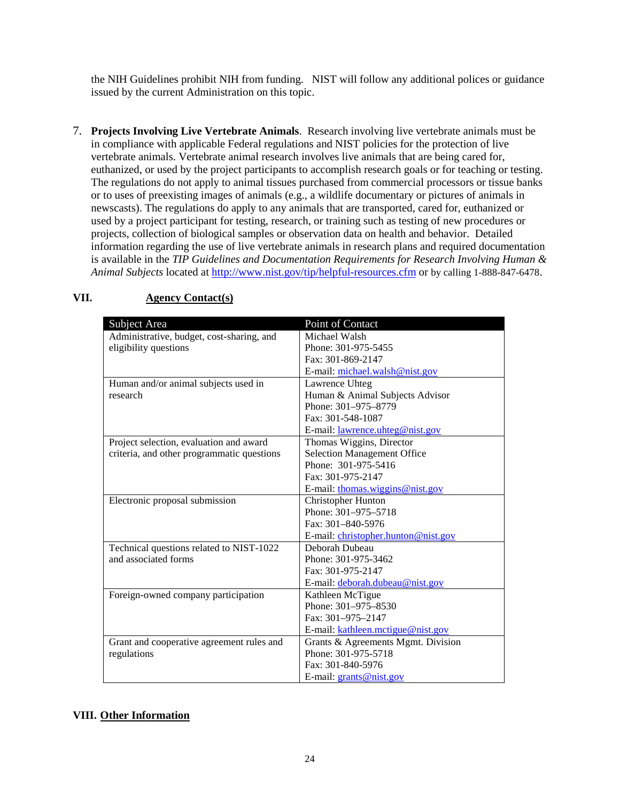the NIH Guidelines prohibit NIH from funding. NIST will follow any additional polices or guidance issued by the current Administration on this topic.

7. **Projects Involving Live Vertebrate Animals**. Research involving live vertebrate animals must be in compliance with applicable Federal regulations and NIST policies for the protection of live vertebrate animals. Vertebrate animal research involves live animals that are being cared for, euthanized, or used by the project participants to accomplish research goals or for teaching or testing. The regulations do not apply to animal tissues purchased from commercial processors or tissue banks or to uses of preexisting images of animals (e.g., a wildlife documentary or pictures of animals in newscasts). The regulations do apply to any animals that are transported, cared for, euthanized or used by a project participant for testing, research, or training such as testing of new procedures or projects, collection of biological samples or observation data on health and behavior. Detailed information regarding the use of live vertebrate animals in research plans and required documentation is available in the *TIP Guidelines and Documentation Requirements for Research Involving Human & Animal Subjects* located at<http://www.nist.gov/tip/helpful-resources.cfm> or by calling 1-888-847-6478.

| Subject Area                               | Point of Contact                        |
|--------------------------------------------|-----------------------------------------|
| Administrative, budget, cost-sharing, and  | Michael Walsh                           |
| eligibility questions                      | Phone: 301-975-5455                     |
|                                            | Fax: 301-869-2147                       |
|                                            | E-mail: michael.walsh@nist.gov          |
| Human and/or animal subjects used in       | Lawrence Uhteg                          |
| research                                   | Human & Animal Subjects Advisor         |
|                                            | Phone: 301-975-8779                     |
|                                            | Fax: 301-548-1087                       |
|                                            | E-mail: <u>lawrence</u> .uhteg@nist.gov |
| Project selection, evaluation and award    | Thomas Wiggins, Director                |
| criteria, and other programmatic questions | <b>Selection Management Office</b>      |
|                                            | Phone: 301-975-5416                     |
|                                            | Fax: 301-975-2147                       |
|                                            | E-mail: thomas.wiggins@nist.gov         |
| Electronic proposal submission             | <b>Christopher Hunton</b>               |
|                                            | Phone: 301-975-5718                     |
|                                            | Fax: 301-840-5976                       |
|                                            | E-mail: christopher.hunton@nist.gov     |
| Technical questions related to NIST-1022   | Deborah Dubeau                          |
| and associated forms                       | Phone: 301-975-3462                     |
|                                            | Fax: 301-975-2147                       |
|                                            | E-mail: deborah.dubeau@nist.gov         |
| Foreign-owned company participation        | Kathleen McTigue                        |
|                                            | Phone: 301-975-8530                     |
|                                            | Fax: 301-975-2147                       |
|                                            | E-mail: kathleen.mctigue@nist.gov       |
| Grant and cooperative agreement rules and  | Grants & Agreements Mgmt. Division      |
| regulations                                | Phone: 301-975-5718                     |
|                                            | Fax: 301-840-5976                       |
|                                            | E-mail: grants@nist.gov                 |

# **VII. Agency Contact(s)**

# **VIII. Other Information**